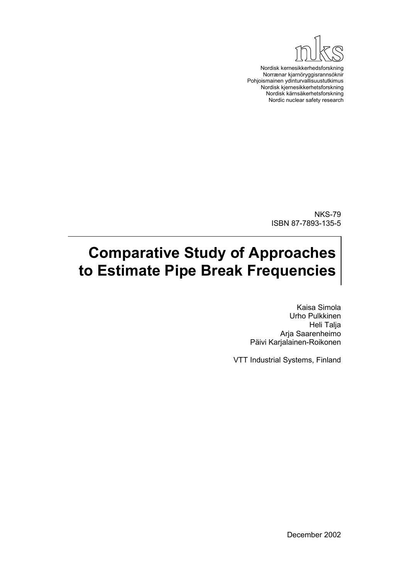

Nordisk kernesikkerhedsforskning Norrænar kjarnöryggisrannsóknir Pohjoismainen ydinturvallisuustutkimus Nordisk kjernesikkerhetsforskning Nordisk kärnsäkerhetsforskning Nordic nuclear safety research

> NKS-79 ISBN 87-7893-135-5

# **Comparative Study of Approaches to Estimate Pipe Break Frequencies**

Kaisa Simola Urho Pulkkinen Heli Talja Arja Saarenheimo Päivi Karjalainen-Roikonen

VTT Industrial Systems, Finland

December 2002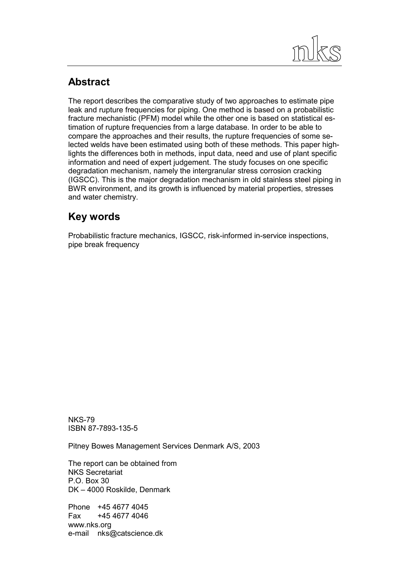

# **Abstract**

The report describes the comparative study of two approaches to estimate pipe leak and rupture frequencies for piping. One method is based on a probabilistic fracture mechanistic (PFM) model while the other one is based on statistical estimation of rupture frequencies from a large database. In order to be able to compare the approaches and their results, the rupture frequencies of some selected welds have been estimated using both of these methods. This paper highlights the differences both in methods, input data, need and use of plant specific information and need of expert judgement. The study focuses on one specific degradation mechanism, namely the intergranular stress corrosion cracking (IGSCC). This is the major degradation mechanism in old stainless steel piping in BWR environment, and its growth is influenced by material properties, stresses and water chemistry.

# **Key words**

Probabilistic fracture mechanics, IGSCC, risk-informed in-service inspections, pipe break frequency

NKS-79 ISBN 87-7893-135-5

Pitney Bowes Management Services Denmark A/S, 2003

The report can be obtained from NKS Secretariat  $P$   $O$  Box 30 DK – 4000 Roskilde, Denmark

Phone +45 4677 4045 Fax +45 4677 4046 www.nks.org e-mail nks@catscience.dk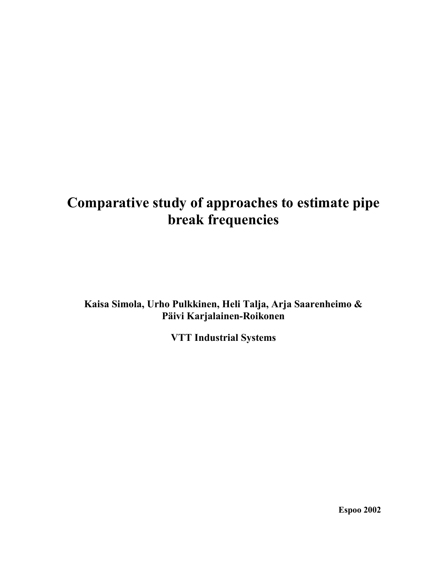# **Comparative study of approaches to estimate pipe break frequencies**

**Kaisa Simola, Urho Pulkkinen, Heli Talja, Arja Saarenheimo & Päivi Karjalainen-Roikonen** 

**VTT Industrial Systems** 

**Espoo 2002**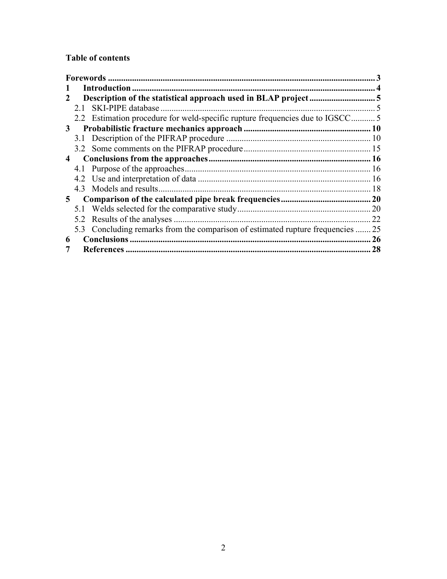# **Table of contents**

| 5.2 |                                       | 22                                                                                                                                                                                                              |
|-----|---------------------------------------|-----------------------------------------------------------------------------------------------------------------------------------------------------------------------------------------------------------------|
|     |                                       | 25                                                                                                                                                                                                              |
|     |                                       | 26                                                                                                                                                                                                              |
|     |                                       | 28                                                                                                                                                                                                              |
|     | 3<br>$\overline{4}$<br>5 <sup>5</sup> | 2.1 SKI-PIPE database<br>2.2 Estimation procedure for weld-specific rupture frequencies due to IGSCC5<br>Results of the analyses<br>5.3 Concluding remarks from the comparison of estimated rupture frequencies |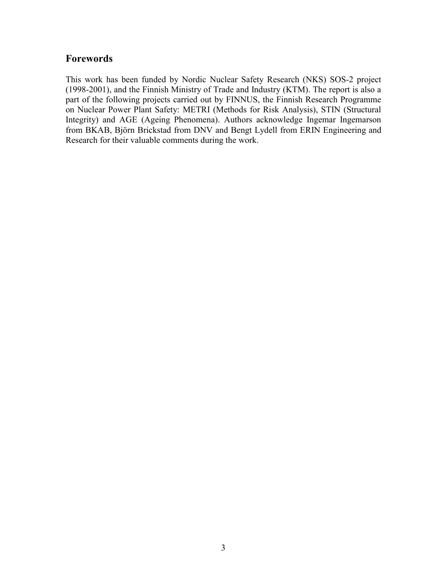# <span id="page-4-0"></span>**Forewords**

This work has been funded by Nordic Nuclear Safety Research (NKS) SOS-2 project (1998-2001), and the Finnish Ministry of Trade and Industry (KTM). The report is also a part of the following projects carried out by FINNUS, the Finnish Research Programme on Nuclear Power Plant Safety: METRI (Methods for Risk Analysis), STIN (Structural Integrity) and AGE (Ageing Phenomena). Authors acknowledge Ingemar Ingemarson from BKAB, Björn Brickstad from DNV and Bengt Lydell from ERIN Engineering and Research for their valuable comments during the work.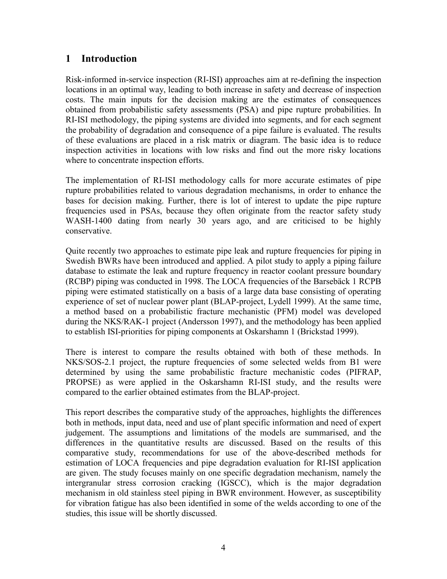# <span id="page-5-0"></span>**1 Introduction**

Risk-informed in-service inspection (RI-ISI) approaches aim at re-defining the inspection locations in an optimal way, leading to both increase in safety and decrease of inspection costs. The main inputs for the decision making are the estimates of consequences obtained from probabilistic safety assessments (PSA) and pipe rupture probabilities. In RI-ISI methodology, the piping systems are divided into segments, and for each segment the probability of degradation and consequence of a pipe failure is evaluated. The results of these evaluations are placed in a risk matrix or diagram. The basic idea is to reduce inspection activities in locations with low risks and find out the more risky locations where to concentrate inspection efforts.

The implementation of RI-ISI methodology calls for more accurate estimates of pipe rupture probabilities related to various degradation mechanisms, in order to enhance the bases for decision making. Further, there is lot of interest to update the pipe rupture frequencies used in PSAs, because they often originate from the reactor safety study WASH-1400 dating from nearly 30 years ago, and are criticised to be highly conservative.

Quite recently two approaches to estimate pipe leak and rupture frequencies for piping in Swedish BWRs have been introduced and applied. A pilot study to apply a piping failure database to estimate the leak and rupture frequency in reactor coolant pressure boundary (RCBP) piping was conducted in 1998. The LOCA frequencies of the Barsebäck 1 RCPB piping were estimated statistically on a basis of a large data base consisting of operating experience of set of nuclear power plant (BLAP-project, Lydell 1999). At the same time, a method based on a probabilistic fracture mechanistic (PFM) model was developed during the NKS/RAK-1 project (Andersson 1997), and the methodology has been applied to establish ISI-priorities for piping components at Oskarshamn 1 (Brickstad 1999).

There is interest to compare the results obtained with both of these methods. In NKS/SOS-2.1 project, the rupture frequencies of some selected welds from B1 were determined by using the same probabilistic fracture mechanistic codes (PIFRAP, PROPSE) as were applied in the Oskarshamn RI-ISI study, and the results were compared to the earlier obtained estimates from the BLAP-project.

This report describes the comparative study of the approaches, highlights the differences both in methods, input data, need and use of plant specific information and need of expert judgement. The assumptions and limitations of the models are summarised, and the differences in the quantitative results are discussed. Based on the results of this comparative study, recommendations for use of the above-described methods for estimation of LOCA frequencies and pipe degradation evaluation for RI-ISI application are given. The study focuses mainly on one specific degradation mechanism, namely the intergranular stress corrosion cracking (IGSCC), which is the major degradation mechanism in old stainless steel piping in BWR environment. However, as susceptibility for vibration fatigue has also been identified in some of the welds according to one of the studies, this issue will be shortly discussed.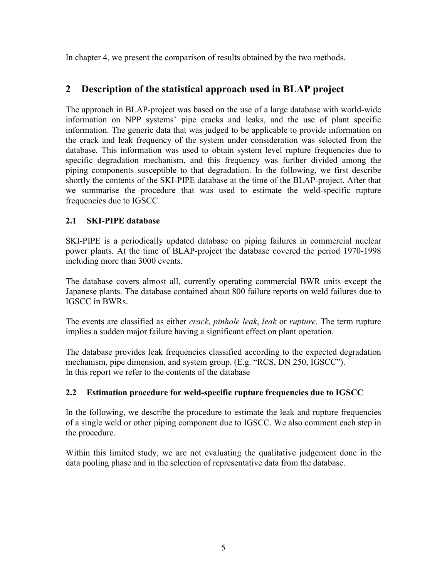<span id="page-6-0"></span>In chapter 4, we present the comparison of results obtained by the two methods.

# **2 Description of the statistical approach used in BLAP project**

The approach in BLAP-project was based on the use of a large database with world-wide information on NPP systems' pipe cracks and leaks, and the use of plant specific information. The generic data that was judged to be applicable to provide information on the crack and leak frequency of the system under consideration was selected from the database. This information was used to obtain system level rupture frequencies due to specific degradation mechanism, and this frequency was further divided among the piping components susceptible to that degradation. In the following, we first describe shortly the contents of the SKI-PIPE database at the time of the BLAP-project. After that we summarise the procedure that was used to estimate the weld-specific rupture frequencies due to IGSCC.

#### **2.1 SKI-PIPE database**

SKI-PIPE is a periodically updated database on piping failures in commercial nuclear power plants. At the time of BLAP-project the database covered the period 1970-1998 including more than 3000 events.

The database covers almost all, currently operating commercial BWR units except the Japanese plants. The database contained about 800 failure reports on weld failures due to IGSCC in BWRs.

The events are classified as either *crack*, *pinhole leak*, *leak* or *rupture*. The term rupture implies a sudden major failure having a significant effect on plant operation.

The database provides leak frequencies classified according to the expected degradation mechanism, pipe dimension, and system group. (E.g. "RCS, DN 250, IGSCC"). In this report we refer to the contents of the database

## **2.2 Estimation procedure for weld-specific rupture frequencies due to IGSCC**

In the following, we describe the procedure to estimate the leak and rupture frequencies of a single weld or other piping component due to IGSCC. We also comment each step in the procedure.

Within this limited study, we are not evaluating the qualitative judgement done in the data pooling phase and in the selection of representative data from the database.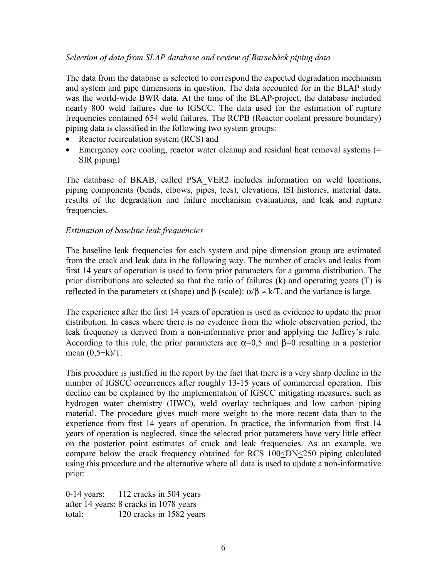#### *Selection of data from SLAP database and review of Barsebäck piping data*

The data from the database is selected to correspond the expected degradation mechanism and system and pipe dimensions in question. The data accounted for in the BLAP study was the world-wide BWR data. At the time of the BLAP-project, the database included nearly 800 weld failures due to IGSCC. The data used for the estimation of rupture frequencies contained 654 weld failures. The RCPB (Reactor coolant pressure boundary) piping data is classified in the following two system groups:

- Reactor recirculation system (RCS) and
- Emergency core cooling, reactor water cleanup and residual heat removal systems (= SIR piping)

The database of BKAB, called PSA\_VER2 includes information on weld locations, piping components (bends, elbows, pipes, tees), elevations, ISI histories, material data, results of the degradation and failure mechanism evaluations, and leak and rupture frequencies.

#### *Estimation of baseline leak frequencies*

The baseline leak frequencies for each system and pipe dimension group are estimated from the crack and leak data in the following way. The number of cracks and leaks from first 14 years of operation is used to form prior parameters for a gamma distribution. The prior distributions are selected so that the ratio of failures (k) and operating years (T) is reflected in the parameters  $\alpha$  (shape) and  $\beta$  (scale):  $\alpha/\beta \approx k/T$ , and the variance is large.

The experience after the first 14 years of operation is used as evidence to update the prior distribution. In cases where there is no evidence from the whole observation period, the leak frequency is derived from a non-informative prior and applying the Jeffrey's rule. According to this rule, the prior parameters are  $\alpha=0.5$  and  $\beta=0$  resulting in a posterior mean  $(0, 5+k)/T$ .

This procedure is justified in the report by the fact that there is a very sharp decline in the number of IGSCC occurrences after roughly 13-15 years of commercial operation. This decline can be explained by the implementation of IGSCC mitigating measures, such as hydrogen water chemistry (HWC), weld overlay techniques and low carbon piping material. The procedure gives much more weight to the more recent data than to the experience from first 14 years of operation. In practice, the information from first 14 years of operation is neglected, since the selected prior parameters have very little effect on the posterior point estimates of crack and leak frequencies. As an example, we compare below the crack frequency obtained for RCS 100<DN<250 piping calculated using this procedure and the alternative where all data is used to update a non-informative prior:

0-14 years: 112 cracks in 504 years after 14 years: 8 cracks in 1078 years total: 120 cracks in 1582 years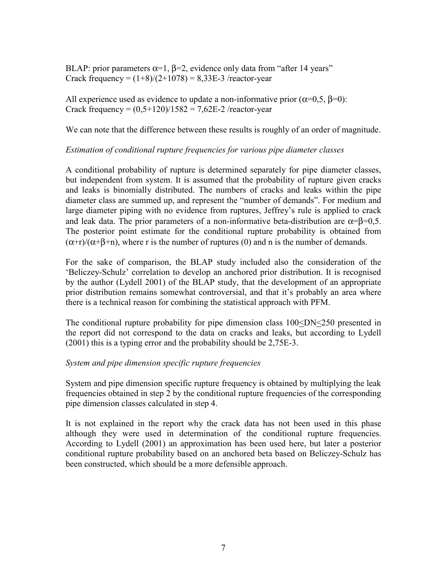BLAP: prior parameters  $\alpha=1$ ,  $\beta=2$ , evidence only data from "after 14 years" Crack frequency =  $(1+8)/(2+1078)$  = 8,33E-3 /reactor-year

All experience used as evidence to update a non-informative prior  $(\alpha=0.5, \beta=0)$ : Crack frequency =  $(0.5+120)/1582 = 7.62E-2$  /reactor-year

We can note that the difference between these results is roughly of an order of magnitude.

#### *Estimation of conditional rupture frequencies for various pipe diameter classes*

A conditional probability of rupture is determined separately for pipe diameter classes, but independent from system. It is assumed that the probability of rupture given cracks and leaks is binomially distributed. The numbers of cracks and leaks within the pipe diameter class are summed up, and represent the "number of demands". For medium and large diameter piping with no evidence from ruptures, Jeffrey's rule is applied to crack and leak data. The prior parameters of a non-informative beta-distribution are  $\alpha = \beta = 0.5$ . The posterior point estimate for the conditional rupture probability is obtained from  $(\alpha+r)/(\alpha+\beta+n)$ , where r is the number of ruptures (0) and n is the number of demands.

For the sake of comparison, the BLAP study included also the consideration of the 'Beliczey-Schulz' correlation to develop an anchored prior distribution. It is recognised by the author (Lydell 2001) of the BLAP study, that the development of an appropriate prior distribution remains somewhat controversial, and that it's probably an area where there is a technical reason for combining the statistical approach with PFM.

The conditional rupture probability for pipe dimension class 100<DN<250 presented in the report did not correspond to the data on cracks and leaks, but according to Lydell (2001) this is a typing error and the probability should be 2,75E-3.

#### *System and pipe dimension specific rupture frequencies*

System and pipe dimension specific rupture frequency is obtained by multiplying the leak frequencies obtained in step 2 by the conditional rupture frequencies of the corresponding pipe dimension classes calculated in step 4.

It is not explained in the report why the crack data has not been used in this phase although they were used in determination of the conditional rupture frequencies. According to Lydell (2001) an approximation has been used here, but later a posterior conditional rupture probability based on an anchored beta based on Beliczey-Schulz has been constructed, which should be a more defensible approach.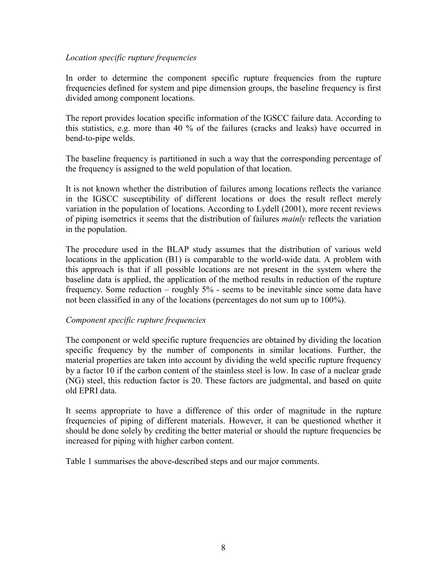#### *Location specific rupture frequencies*

In order to determine the component specific rupture frequencies from the rupture frequencies defined for system and pipe dimension groups, the baseline frequency is first divided among component locations.

The report provides location specific information of the IGSCC failure data. According to this statistics, e.g. more than 40 % of the failures (cracks and leaks) have occurred in bend-to-pipe welds.

The baseline frequency is partitioned in such a way that the corresponding percentage of the frequency is assigned to the weld population of that location.

It is not known whether the distribution of failures among locations reflects the variance in the IGSCC susceptibility of different locations or does the result reflect merely variation in the population of locations. According to Lydell (2001), more recent reviews of piping isometrics it seems that the distribution of failures *mainly* reflects the variation in the population.

The procedure used in the BLAP study assumes that the distribution of various weld locations in the application (B1) is comparable to the world-wide data. A problem with this approach is that if all possible locations are not present in the system where the baseline data is applied, the application of the method results in reduction of the rupture frequency. Some reduction – roughly 5% - seems to be inevitable since some data have not been classified in any of the locations (percentages do not sum up to 100%).

#### *Component specific rupture frequencies*

The component or weld specific rupture frequencies are obtained by dividing the location specific frequency by the number of components in similar locations. Further, the material properties are taken into account by dividing the weld specific rupture frequency by a factor 10 if the carbon content of the stainless steel is low. In case of a nuclear grade (NG) steel, this reduction factor is 20. These factors are judgmental, and based on quite old EPRI data.

It seems appropriate to have a difference of this order of magnitude in the rupture frequencies of piping of different materials. However, it can be questioned whether it should be done solely by crediting the better material or should the rupture frequencies be increased for piping with higher carbon content.

Table 1 summarises the above-described steps and our major comments.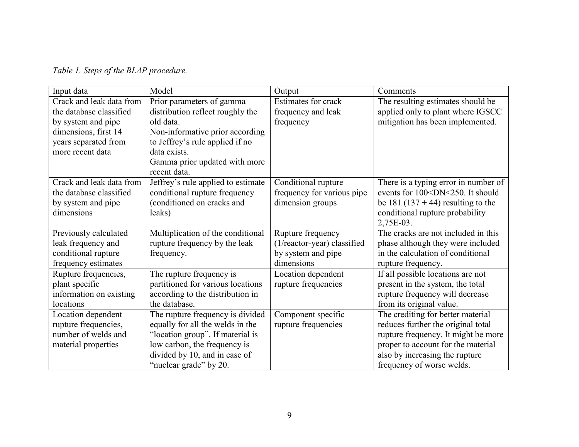|  |  | Table 1. Steps of the BLAP procedure. |
|--|--|---------------------------------------|
|  |  |                                       |

| Input data               | Model                              | Output                      | Comments                                                  |
|--------------------------|------------------------------------|-----------------------------|-----------------------------------------------------------|
| Crack and leak data from | Prior parameters of gamma          | <b>Estimates for crack</b>  | The resulting estimates should be                         |
| the database classified  | distribution reflect roughly the   | frequency and leak          | applied only to plant where IGSCC                         |
| by system and pipe       | old data.                          | frequency                   | mitigation has been implemented.                          |
| dimensions, first 14     | Non-informative prior according    |                             |                                                           |
| years separated from     | to Jeffrey's rule applied if no    |                             |                                                           |
| more recent data         | data exists.                       |                             |                                                           |
|                          | Gamma prior updated with more      |                             |                                                           |
|                          | recent data.                       |                             |                                                           |
| Crack and leak data from | Jeffrey's rule applied to estimate | Conditional rupture         | There is a typing error in number of                      |
| the database classified  | conditional rupture frequency      | frequency for various pipe  | events for 100 <dn<250. it="" should<="" td=""></dn<250.> |
| by system and pipe       | (conditioned on cracks and         | dimension groups            | be 181 (137 + 44) resulting to the                        |
| dimensions               | leaks)                             |                             | conditional rupture probability                           |
|                          |                                    |                             | 2,75E-03.                                                 |
| Previously calculated    | Multiplication of the conditional  | Rupture frequency           | The cracks are not included in this                       |
| leak frequency and       | rupture frequency by the leak      | (1/reactor-year) classified | phase although they were included                         |
| conditional rupture      | frequency.                         | by system and pipe          | in the calculation of conditional                         |
| frequency estimates      |                                    | dimensions                  | rupture frequency.                                        |
| Rupture frequencies,     | The rupture frequency is           | Location dependent          | If all possible locations are not                         |
| plant specific           | partitioned for various locations  | rupture frequencies         | present in the system, the total                          |
| information on existing  | according to the distribution in   |                             | rupture frequency will decrease                           |
| locations                | the database.                      |                             | from its original value.                                  |
| Location dependent       | The rupture frequency is divided   | Component specific          | The crediting for better material                         |
| rupture frequencies,     | equally for all the welds in the   | rupture frequencies         | reduces further the original total                        |
| number of welds and      | "location group". If material is   |                             | rupture frequency. It might be more                       |
| material properties      | low carbon, the frequency is       |                             | proper to account for the material                        |
|                          | divided by 10, and in case of      |                             | also by increasing the rupture                            |
|                          | "nuclear grade" by 20.             |                             | frequency of worse welds.                                 |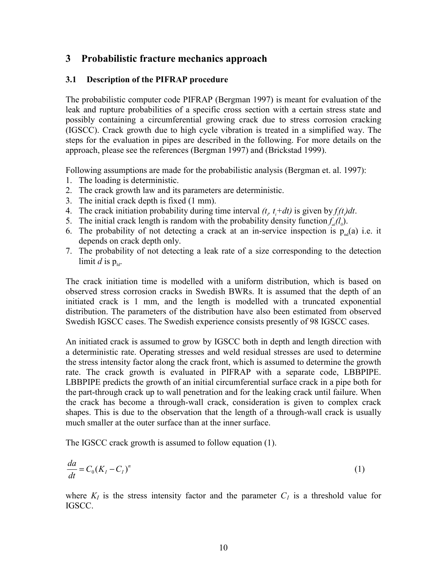## <span id="page-11-0"></span>**3 Probabilistic fracture mechanics approach**

#### **3.1 Description of the PIFRAP procedure**

The probabilistic computer code PIFRAP (Bergman 1997) is meant for evaluation of the leak and rupture probabilities of a specific cross section with a certain stress state and possibly containing a circumferential growing crack due to stress corrosion cracking (IGSCC). Crack growth due to high cycle vibration is treated in a simplified way. The steps for the evaluation in pipes are described in the following. For more details on the approach, please see the references (Bergman 1997) and (Brickstad 1999).

Following assumptions are made for the probabilistic analysis (Bergman et. al. 1997):

- 1. The loading is deterministic.
- 2. The crack growth law and its parameters are deterministic.
- 3. The initial crack depth is fixed (1 mm).
- 4. The crack initiation probability during time interval  $(t, t_i + dt)$  is given by  $f_i(t)dt$ .
- 5. The initial crack length is random with the probability density function  $f_a(l_a)$ .
- 6. The probability of not detecting a crack at an in-service inspection is  $p_{nd}(a)$  i.e. it depends on crack depth only.
- 7. The probability of not detecting a leak rate of a size corresponding to the detection limit *d* is  $p_{\text{ld}}$ .

The crack initiation time is modelled with a uniform distribution, which is based on observed stress corrosion cracks in Swedish BWRs. It is assumed that the depth of an initiated crack is 1 mm, and the length is modelled with a truncated exponential distribution. The parameters of the distribution have also been estimated from observed Swedish IGSCC cases. The Swedish experience consists presently of 98 IGSCC cases.

An initiated crack is assumed to grow by IGSCC both in depth and length direction with a deterministic rate. Operating stresses and weld residual stresses are used to determine the stress intensity factor along the crack front, which is assumed to determine the growth rate. The crack growth is evaluated in PIFRAP with a separate code, LBBPIPE. LBBPIPE predicts the growth of an initial circumferential surface crack in a pipe both for the part-through crack up to wall penetration and for the leaking crack until failure. When the crack has become a through-wall crack, consideration is given to complex crack shapes. This is due to the observation that the length of a through-wall crack is usually much smaller at the outer surface than at the inner surface.

The IGSCC crack growth is assumed to follow equation (1).

$$
\frac{da}{dt} = C_0(K_I - C_I)^n \tag{1}
$$

where  $K_I$  is the stress intensity factor and the parameter  $C_I$  is a threshold value for IGSCC.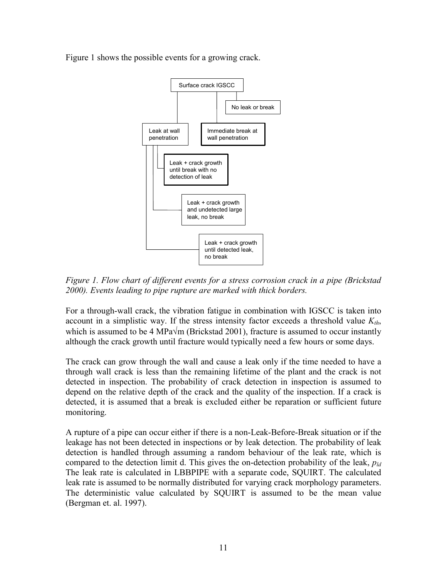Figure 1 shows the possible events for a growing crack.



*Figure 1. Flow chart of different events for a stress corrosion crack in a pipe (Brickstad 2000). Events leading to pipe rupture are marked with thick borders.* 

For a through-wall crack, the vibration fatigue in combination with IGSCC is taken into account in a simplistic way. If the stress intensity factor exceeds a threshold value  $K_{th}$ , which is assumed to be 4 MPa $\sqrt{m}$  (Brickstad 2001), fracture is assumed to occur instantly although the crack growth until fracture would typically need a few hours or some days.

The crack can grow through the wall and cause a leak only if the time needed to have a through wall crack is less than the remaining lifetime of the plant and the crack is not detected in inspection. The probability of crack detection in inspection is assumed to depend on the relative depth of the crack and the quality of the inspection. If a crack is detected, it is assumed that a break is excluded either be reparation or sufficient future monitoring.

A rupture of a pipe can occur either if there is a non-Leak-Before-Break situation or if the leakage has not been detected in inspections or by leak detection. The probability of leak detection is handled through assuming a random behaviour of the leak rate, which is compared to the detection limit d. This gives the on-detection probability of the leak, *pld* The leak rate is calculated in LBBPIPE with a separate code, SQUIRT. The calculated leak rate is assumed to be normally distributed for varying crack morphology parameters. The deterministic value calculated by SQUIRT is assumed to be the mean value (Bergman et. al. 1997).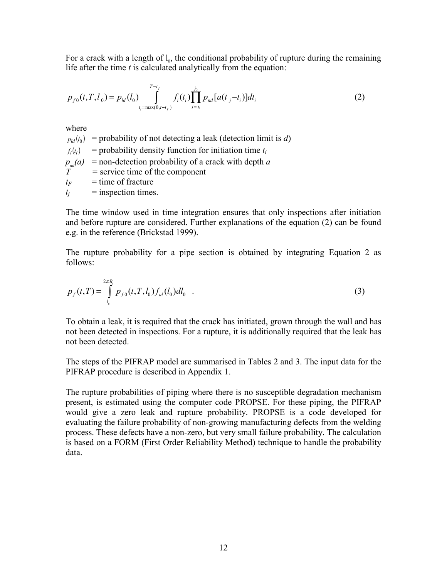For a crack with a length of  $l_0$ , the conditional probability of rupture during the remaining life after the time *t* is calculated analytically from the equation:

$$
p_{f0}(t, T, l_0) = p_{ld}(l_0) \int_{t_i = \max(0, t - t_f)}^{T - t_f} f_i(t_i) \prod_{j=j_1}^{j_2} p_{nd}[a(t_j - t_i)] dt_i
$$
 (2)

where

 $p_{ld}(l_0)$  = probability of not detecting a leak (detection limit is *d*)  $f_i(t_i)$  = probability density function for initiation time  $t_i$  $p_{nd}(a)$  = non-detection probability of a crack with depth *a T =* service time of the component  $t_F$  = time of fracture  $t_i$  = inspection times.

The time window used in time integration ensures that only inspections after initiation and before rupture are considered. Further explanations of the equation (2) can be found e.g. in the reference (Brickstad 1999).

The rupture probability for a pipe section is obtained by integrating Equation 2 as follows:

$$
p_f(t,T) = \int_{l_c}^{2\pi R_i} p_{f0}(t,T,l_0) f_{al}(l_0) dl_0
$$
 (3)

To obtain a leak, it is required that the crack has initiated, grown through the wall and has not been detected in inspections. For a rupture, it is additionally required that the leak has not been detected.

The steps of the PIFRAP model are summarised in Tables 2 and 3. The input data for the PIFRAP procedure is described in Appendix 1.

The rupture probabilities of piping where there is no susceptible degradation mechanism present, is estimated using the computer code PROPSE. For these piping, the PIFRAP would give a zero leak and rupture probability. PROPSE is a code developed for evaluating the failure probability of non-growing manufacturing defects from the welding process. These defects have a non-zero, but very small failure probability. The calculation is based on a FORM (First Order Reliability Method) technique to handle the probability data.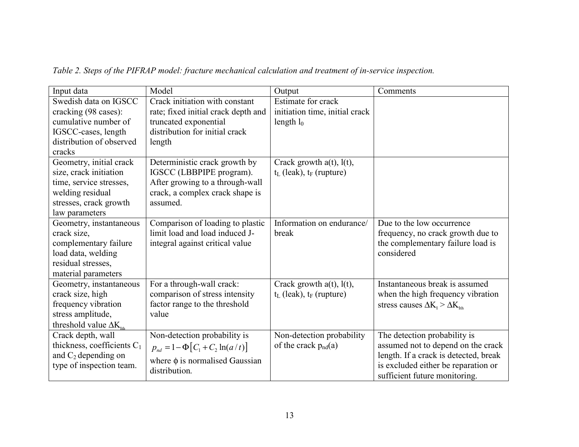| Input data                                                                                                                                   | Model                                                                                                                                         | Output                                                               | Comments                                                                                                                                                                            |
|----------------------------------------------------------------------------------------------------------------------------------------------|-----------------------------------------------------------------------------------------------------------------------------------------------|----------------------------------------------------------------------|-------------------------------------------------------------------------------------------------------------------------------------------------------------------------------------|
| Swedish data on IGSCC<br>cracking (98 cases):<br>cumulative number of<br>IGSCC-cases, length<br>distribution of observed<br>cracks           | Crack initiation with constant<br>rate; fixed initial crack depth and<br>truncated exponential<br>distribution for initial crack<br>length    | Estimate for crack<br>initiation time, initial crack<br>length $l_0$ |                                                                                                                                                                                     |
| Geometry, initial crack<br>size, crack initiation<br>time, service stresses,<br>welding residual<br>stresses, crack growth<br>law parameters | Deterministic crack growth by<br>IGSCC (LBBPIPE program).<br>After growing to a through-wall<br>crack, a complex crack shape is<br>assumed.   | Crack growth $a(t)$ , $l(t)$ ,<br>$t_L$ (leak), $t_F$ (rupture)      |                                                                                                                                                                                     |
| Geometry, instantaneous<br>crack size,<br>complementary failure<br>load data, welding<br>residual stresses,<br>material parameters           | Comparison of loading to plastic<br>limit load and load induced J-<br>integral against critical value                                         | Information on endurance/<br>break                                   | Due to the low occurrence<br>frequency, no crack growth due to<br>the complementary failure load is<br>considered                                                                   |
| Geometry, instantaneous<br>crack size, high<br>frequency vibration<br>stress amplitude,<br>threshold value $\Delta K_{\text{m}}$             | For a through-wall crack:<br>comparison of stress intensity<br>factor range to the threshold<br>value                                         | Crack growth $a(t)$ , $l(t)$ ,<br>$t_L$ (leak), $t_F$ (rupture)      | Instantaneous break is assumed<br>when the high frequency vibration<br>stress causes $\Delta K_{I} > \Delta K_{I}$                                                                  |
| Crack depth, wall<br>thickness, coefficients $C_1$<br>and $C_2$ depending on<br>type of inspection team.                                     | Non-detection probability is<br>$p_{nd} = 1 - \Phi \left[ C_1 + C_2 \ln(a/t) \right]$<br>where $\phi$ is normalised Gaussian<br>distribution. | Non-detection probability<br>of the crack $p_{nd}(a)$                | The detection probability is<br>assumed not to depend on the crack<br>length. If a crack is detected, break<br>is excluded either be reparation or<br>sufficient future monitoring. |

*Table 2. Steps of the PIFRAP model: fracture mechanical calculation and treatment of in-service inspection.*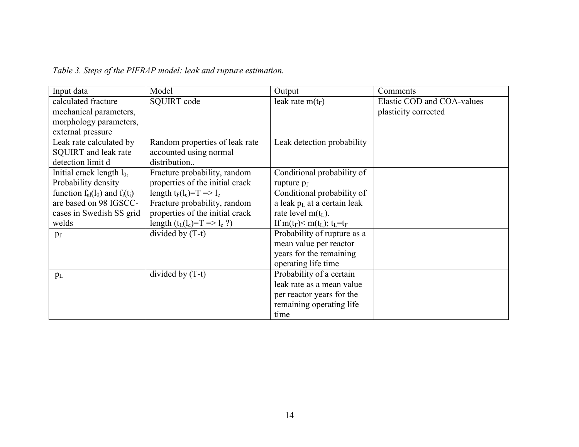| Input data                            | Model                                | Output                                                                          | Comments                   |
|---------------------------------------|--------------------------------------|---------------------------------------------------------------------------------|----------------------------|
| calculated fracture                   | <b>SQUIRT</b> code                   | leak rate $m(t_F)$                                                              | Elastic COD and COA-values |
| mechanical parameters,                |                                      |                                                                                 | plasticity corrected       |
| morphology parameters,                |                                      |                                                                                 |                            |
| external pressure                     |                                      |                                                                                 |                            |
| Leak rate calculated by               | Random properties of leak rate       | Leak detection probability                                                      |                            |
| <b>SQUIRT</b> and leak rate           | accounted using normal               |                                                                                 |                            |
| detection limit d                     | distribution                         |                                                                                 |                            |
| Initial crack length $l_0$ ,          | Fracture probability, random         | Conditional probability of                                                      |                            |
| Probability density                   | properties of the initial crack      | rupture $p_f$                                                                   |                            |
| function $f_{al}(l_0)$ and $f_i(t_i)$ | length $t_F(l_c)=T \Rightarrow l_c$  | Conditional probability of                                                      |                            |
| are based on 98 IGSCC-                | Fracture probability, random         | a leak $p_L$ at a certain leak                                                  |                            |
| cases in Swedish SS grid              | properties of the initial crack      | rate level $m(t_L)$ .                                                           |                            |
| welds                                 | length $(t_L(l_c)=T \implies l_c ?)$ | If m(t <sub>F</sub> ) $\leq$ m(t <sub>L</sub> ); t <sub>L</sub> =t <sub>F</sub> |                            |
| $p_f$                                 | divided by $(T-t)$                   | Probability of rupture as a                                                     |                            |
|                                       |                                      | mean value per reactor                                                          |                            |
|                                       |                                      | years for the remaining                                                         |                            |
|                                       |                                      | operating life time                                                             |                            |
| $p_L$                                 | divided by $(T-t)$                   | Probability of a certain                                                        |                            |
|                                       |                                      | leak rate as a mean value                                                       |                            |
|                                       |                                      | per reactor years for the                                                       |                            |
|                                       |                                      | remaining operating life                                                        |                            |
|                                       |                                      | time                                                                            |                            |

*Table 3. Steps of the PIFRAP model: leak and rupture estimation.*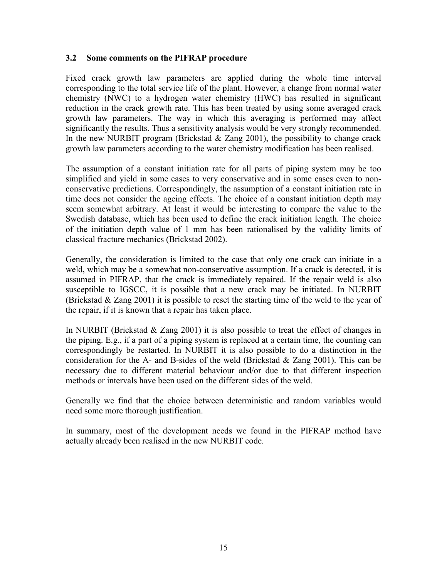#### <span id="page-16-0"></span>**3.2 Some comments on the PIFRAP procedure**

Fixed crack growth law parameters are applied during the whole time interval corresponding to the total service life of the plant. However, a change from normal water chemistry (NWC) to a hydrogen water chemistry (HWC) has resulted in significant reduction in the crack growth rate. This has been treated by using some averaged crack growth law parameters. The way in which this averaging is performed may affect significantly the results. Thus a sensitivity analysis would be very strongly recommended. In the new NURBIT program (Brickstad  $&$  Zang 2001), the possibility to change crack growth law parameters according to the water chemistry modification has been realised.

The assumption of a constant initiation rate for all parts of piping system may be too simplified and yield in some cases to very conservative and in some cases even to nonconservative predictions. Correspondingly, the assumption of a constant initiation rate in time does not consider the ageing effects. The choice of a constant initiation depth may seem somewhat arbitrary. At least it would be interesting to compare the value to the Swedish database, which has been used to define the crack initiation length. The choice of the initiation depth value of 1 mm has been rationalised by the validity limits of classical fracture mechanics (Brickstad 2002).

Generally, the consideration is limited to the case that only one crack can initiate in a weld, which may be a somewhat non-conservative assumption. If a crack is detected, it is assumed in PIFRAP, that the crack is immediately repaired. If the repair weld is also susceptible to IGSCC, it is possible that a new crack may be initiated. In NURBIT (Brickstad & Zang 2001) it is possible to reset the starting time of the weld to the year of the repair, if it is known that a repair has taken place.

In NURBIT (Brickstad  $\&$  Zang 2001) it is also possible to treat the effect of changes in the piping. E.g., if a part of a piping system is replaced at a certain time, the counting can correspondingly be restarted. In NURBIT it is also possible to do a distinction in the consideration for the A- and B-sides of the weld (Brickstad & Zang 2001). This can be necessary due to different material behaviour and/or due to that different inspection methods or intervals have been used on the different sides of the weld.

Generally we find that the choice between deterministic and random variables would need some more thorough justification.

In summary, most of the development needs we found in the PIFRAP method have actually already been realised in the new NURBIT code.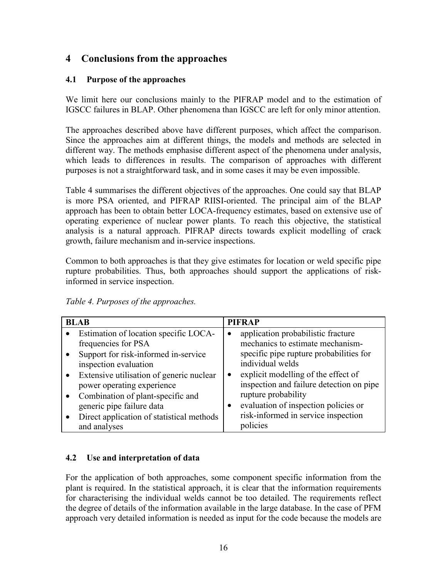# <span id="page-17-0"></span>**4 Conclusions from the approaches**

#### **4.1 Purpose of the approaches**

We limit here our conclusions mainly to the PIFRAP model and to the estimation of IGSCC failures in BLAP. Other phenomena than IGSCC are left for only minor attention.

The approaches described above have different purposes, which affect the comparison. Since the approaches aim at different things, the models and methods are selected in different way. The methods emphasise different aspect of the phenomena under analysis, which leads to differences in results. The comparison of approaches with different purposes is not a straightforward task, and in some cases it may be even impossible.

Table 4 summarises the different objectives of the approaches. One could say that BLAP is more PSA oriented, and PIFRAP RIISI-oriented. The principal aim of the BLAP approach has been to obtain better LOCA-frequency estimates, based on extensive use of operating experience of nuclear power plants. To reach this objective, the statistical analysis is a natural approach. PIFRAP directs towards explicit modelling of crack growth, failure mechanism and in-service inspections.

Common to both approaches is that they give estimates for location or weld specific pipe rupture probabilities. Thus, both approaches should support the applications of riskinformed in service inspection.

*Table 4. Purposes of the approaches.* 

|           | <b>BLAB</b>                               |           | <b>PIFRAP</b>                            |
|-----------|-------------------------------------------|-----------|------------------------------------------|
| $\bullet$ | Estimation of location specific LOCA-     |           | application probabilistic fracture       |
|           | frequencies for PSA                       |           | mechanics to estimate mechanism-         |
|           | Support for risk-informed in-service      |           | specific pipe rupture probabilities for  |
|           | inspection evaluation                     |           | individual welds                         |
| $\bullet$ | Extensive utilisation of generic nuclear  | $\bullet$ | explicit modelling of the effect of      |
|           | power operating experience                |           | inspection and failure detection on pipe |
| $\bullet$ | Combination of plant-specific and         |           | rupture probability                      |
|           | generic pipe failure data                 |           | evaluation of inspection policies or     |
|           | Direct application of statistical methods |           | risk-informed in service inspection      |
|           | and analyses                              |           | policies                                 |

#### **4.2 Use and interpretation of data**

For the application of both approaches, some component specific information from the plant is required. In the statistical approach, it is clear that the information requirements for characterising the individual welds cannot be too detailed. The requirements reflect the degree of details of the information available in the large database. In the case of PFM approach very detailed information is needed as input for the code because the models are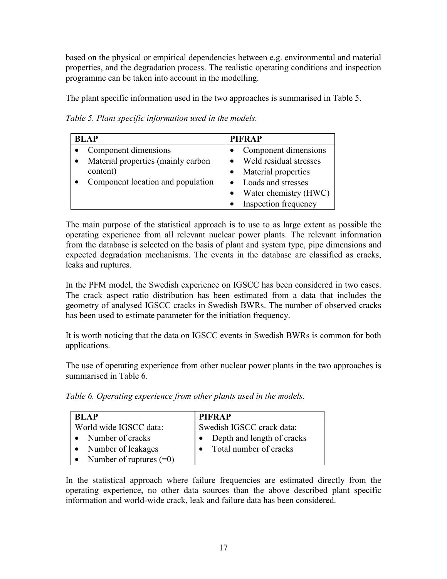based on the physical or empirical dependencies between e.g. environmental and material properties, and the degradation process. The realistic operating conditions and inspection programme can be taken into account in the modelling.

The plant specific information used in the two approaches is summarised in Table 5.

*Table 5. Plant specific information used in the models.* 

| <b>BLAP</b>                        | <b>PIFRAP</b>          |
|------------------------------------|------------------------|
| Component dimensions               | Component dimensions   |
| Material properties (mainly carbon | Weld residual stresses |
| content)                           | Material properties    |
| Component location and population  | Loads and stresses     |
|                                    | Water chemistry (HWC)  |
|                                    | Inspection frequency   |

The main purpose of the statistical approach is to use to as large extent as possible the operating experience from all relevant nuclear power plants. The relevant information from the database is selected on the basis of plant and system type, pipe dimensions and expected degradation mechanisms. The events in the database are classified as cracks, leaks and ruptures.

In the PFM model, the Swedish experience on IGSCC has been considered in two cases. The crack aspect ratio distribution has been estimated from a data that includes the geometry of analysed IGSCC cracks in Swedish BWRs. The number of observed cracks has been used to estimate parameter for the initiation frequency.

It is worth noticing that the data on IGSCC events in Swedish BWRs is common for both applications.

The use of operating experience from other nuclear power plants in the two approaches is summarised in Table 6.

*Table 6. Operating experience from other plants used in the models.* 

| <b>BLAP</b>               | <b>PIFRAP</b>              |
|---------------------------|----------------------------|
| World wide IGSCC data:    | Swedish IGSCC crack data:  |
| • Number of cracks        | Depth and length of cracks |
| Number of leakages        | Total number of cracks     |
| Number of ruptures $(=0)$ |                            |

In the statistical approach where failure frequencies are estimated directly from the operating experience, no other data sources than the above described plant specific information and world-wide crack, leak and failure data has been considered.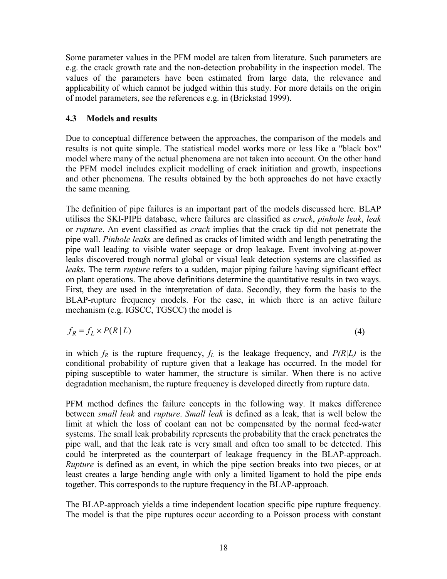<span id="page-19-0"></span>Some parameter values in the PFM model are taken from literature. Such parameters are e.g. the crack growth rate and the non-detection probability in the inspection model. The values of the parameters have been estimated from large data, the relevance and applicability of which cannot be judged within this study. For more details on the origin of model parameters, see the references e.g. in (Brickstad 1999).

#### **4.3 Models and results**

Due to conceptual difference between the approaches, the comparison of the models and results is not quite simple. The statistical model works more or less like a "black box" model where many of the actual phenomena are not taken into account. On the other hand the PFM model includes explicit modelling of crack initiation and growth, inspections and other phenomena. The results obtained by the both approaches do not have exactly the same meaning.

The definition of pipe failures is an important part of the models discussed here. BLAP utilises the SKI-PIPE database, where failures are classified as *crack*, *pinhole leak*, *leak* or *rupture*. An event classified as *crack* implies that the crack tip did not penetrate the pipe wall. *Pinhole leaks* are defined as cracks of limited width and length penetrating the pipe wall leading to visible water seepage or drop leakage. Event involving at-power leaks discovered trough normal global or visual leak detection systems are classified as *leaks*. The term *rupture* refers to a sudden, major piping failure having significant effect on plant operations. The above definitions determine the quantitative results in two ways. First, they are used in the interpretation of data. Secondly, they form the basis to the BLAP-rupture frequency models. For the case, in which there is an active failure mechanism (e.g. IGSCC, TGSCC) the model is

$$
f_R = f_L \times P(R \mid L) \tag{4}
$$

in which  $f_R$  is the rupture frequency,  $f_L$  is the leakage frequency, and  $P(R|L)$  is the conditional probability of rupture given that a leakage has occurred. In the model for piping susceptible to water hammer, the structure is similar. When there is no active degradation mechanism, the rupture frequency is developed directly from rupture data.

PFM method defines the failure concepts in the following way. It makes difference between *small leak* and *rupture*. *Small leak* is defined as a leak, that is well below the limit at which the loss of coolant can not be compensated by the normal feed-water systems. The small leak probability represents the probability that the crack penetrates the pipe wall, and that the leak rate is very small and often too small to be detected. This could be interpreted as the counterpart of leakage frequency in the BLAP-approach. *Rupture* is defined as an event, in which the pipe section breaks into two pieces, or at least creates a large bending angle with only a limited ligament to hold the pipe ends together. This corresponds to the rupture frequency in the BLAP-approach.

The BLAP-approach yields a time independent location specific pipe rupture frequency. The model is that the pipe ruptures occur according to a Poisson process with constant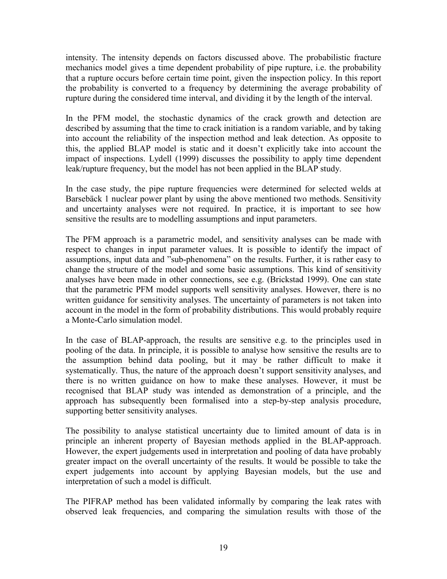intensity. The intensity depends on factors discussed above. The probabilistic fracture mechanics model gives a time dependent probability of pipe rupture, i.e. the probability that a rupture occurs before certain time point, given the inspection policy. In this report the probability is converted to a frequency by determining the average probability of rupture during the considered time interval, and dividing it by the length of the interval.

In the PFM model, the stochastic dynamics of the crack growth and detection are described by assuming that the time to crack initiation is a random variable, and by taking into account the reliability of the inspection method and leak detection. As opposite to this, the applied BLAP model is static and it doesn't explicitly take into account the impact of inspections. Lydell (1999) discusses the possibility to apply time dependent leak/rupture frequency, but the model has not been applied in the BLAP study.

In the case study, the pipe rupture frequencies were determined for selected welds at Barsebäck 1 nuclear power plant by using the above mentioned two methods. Sensitivity and uncertainty analyses were not required. In practice, it is important to see how sensitive the results are to modelling assumptions and input parameters.

The PFM approach is a parametric model, and sensitivity analyses can be made with respect to changes in input parameter values. It is possible to identify the impact of assumptions, input data and "sub-phenomena" on the results. Further, it is rather easy to change the structure of the model and some basic assumptions. This kind of sensitivity analyses have been made in other connections, see e.g. (Brickstad 1999). One can state that the parametric PFM model supports well sensitivity analyses. However, there is no written guidance for sensitivity analyses. The uncertainty of parameters is not taken into account in the model in the form of probability distributions. This would probably require a Monte-Carlo simulation model.

In the case of BLAP-approach, the results are sensitive e.g. to the principles used in pooling of the data. In principle, it is possible to analyse how sensitive the results are to the assumption behind data pooling, but it may be rather difficult to make it systematically. Thus, the nature of the approach doesn't support sensitivity analyses, and there is no written guidance on how to make these analyses. However, it must be recognised that BLAP study was intended as demonstration of a principle, and the approach has subsequently been formalised into a step-by-step analysis procedure, supporting better sensitivity analyses.

The possibility to analyse statistical uncertainty due to limited amount of data is in principle an inherent property of Bayesian methods applied in the BLAP-approach. However, the expert judgements used in interpretation and pooling of data have probably greater impact on the overall uncertainty of the results. It would be possible to take the expert judgements into account by applying Bayesian models, but the use and interpretation of such a model is difficult.

The PIFRAP method has been validated informally by comparing the leak rates with observed leak frequencies, and comparing the simulation results with those of the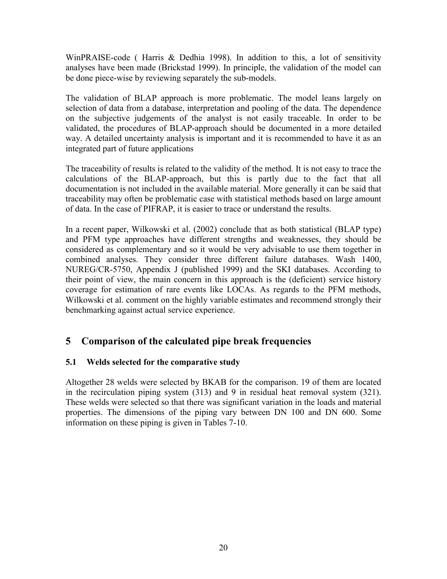<span id="page-21-0"></span>WinPRAISE-code ( Harris & Dedhia 1998). In addition to this, a lot of sensitivity analyses have been made (Brickstad 1999). In principle, the validation of the model can be done piece-wise by reviewing separately the sub-models.

The validation of BLAP approach is more problematic. The model leans largely on selection of data from a database, interpretation and pooling of the data. The dependence on the subjective judgements of the analyst is not easily traceable. In order to be validated, the procedures of BLAP-approach should be documented in a more detailed way. A detailed uncertainty analysis is important and it is recommended to have it as an integrated part of future applications

The traceability of results is related to the validity of the method. It is not easy to trace the calculations of the BLAP-approach, but this is partly due to the fact that all documentation is not included in the available material. More generally it can be said that traceability may often be problematic case with statistical methods based on large amount of data. In the case of PIFRAP, it is easier to trace or understand the results.

In a recent paper, Wilkowski et al. (2002) conclude that as both statistical (BLAP type) and PFM type approaches have different strengths and weaknesses, they should be considered as complementary and so it would be very advisable to use them together in combined analyses. They consider three different failure databases. Wash 1400, NUREG/CR-5750, Appendix J (published 1999) and the SKI databases. According to their point of view, the main concern in this approach is the (deficient) service history coverage for estimation of rare events like LOCAs. As regards to the PFM methods, Wilkowski et al. comment on the highly variable estimates and recommend strongly their benchmarking against actual service experience.

# **5 Comparison of the calculated pipe break frequencies**

## **5.1 Welds selected for the comparative study**

Altogether 28 welds were selected by BKAB for the comparison. 19 of them are located in the recirculation piping system (313) and 9 in residual heat removal system (321). These welds were selected so that there was significant variation in the loads and material properties. The dimensions of the piping vary between DN 100 and DN 600. Some information on these piping is given in Tables 7-10.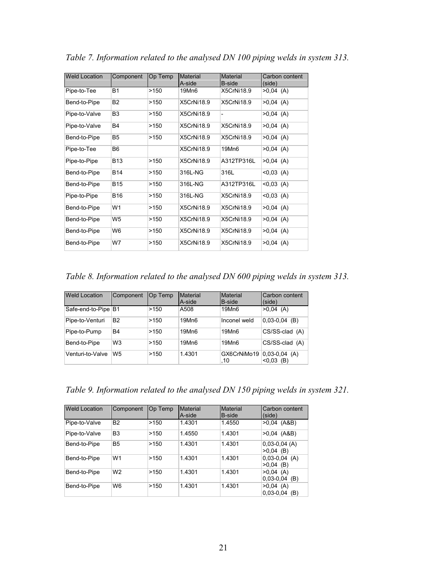| <b>Weld Location</b> | Component      | Op Temp | <b>Material</b>   | Material      | Carbon content |
|----------------------|----------------|---------|-------------------|---------------|----------------|
|                      |                |         | A-side            | <b>B-side</b> | (side)         |
| Pipe-to-Tee          | <b>B1</b>      | >150    | 19Mn6             | X5CrNi18.9    | $>0,04$ (A)    |
| Bend-to-Pipe         | <b>B2</b>      | >150    | X5CrNi18.9        | X5CrNi18.9    | $>0,04$ (A)    |
| Pipe-to-Valve        | B <sub>3</sub> | >150    | <b>X5CrNi18.9</b> |               | $>0,04$ (A)    |
| Pipe-to-Valve        | B4             | >150    | <b>X5CrNi18.9</b> | X5CrNi18.9    | $>0.04$ (A)    |
| Bend-to-Pipe         | B <sub>5</sub> | >150    | <b>X5CrNi18.9</b> | X5CrNi18.9    | $>0,04$ (A)    |
| Pipe-to-Tee          | B6             |         | <b>X5CrNi18.9</b> | 19Mn6         | $>0,04$ (A)    |
| Pipe-to-Pipe         | <b>B13</b>     | >150    | X5CrNi18.9        | A312TP316L    | $>0,04$ (A)    |
| Bend-to-Pipe         | <b>B14</b>     | >150    | 316L-NG           | 316L          | $< 0.03$ (A)   |
| Bend-to-Pipe         | <b>B15</b>     | >150    | 316L-NG           | A312TP316L    | $< 0.03$ (A)   |
| Pipe-to-Pipe         | <b>B16</b>     | >150    | 316L-NG           | X5CrNi18.9    | $< 0.03$ (A)   |
| Bend-to-Pipe         | W1             | >150    | X5CrNi18.9        | X5CrNi18.9    | $>0,04$ (A)    |
| Bend-to-Pipe         | W5             | >150    | <b>X5CrNi18.9</b> | X5CrNi18.9    | $>0,04$ (A)    |
| Bend-to-Pipe         | W6             | >150    | X5CrNi18.9        | X5CrNi18.9    | $>0,04$ (A)    |
| Bend-to-Pipe         | W7             | >150    | X5CrNi18.9        | X5CrNi18.9    | $>0,04$ (A)    |

*Table 7. Information related to the analysed DN 100 piping welds in system 313.* 

*Table 8. Information related to the analysed DN 600 piping welds in system 313.* 

| <b>Weld Location</b> | Component      | Op Temp | Material<br>A-side | Material<br><b>B-side</b> | Carbon content<br>(side)           |
|----------------------|----------------|---------|--------------------|---------------------------|------------------------------------|
| Safe-end-to-Pipe B1  |                | >150    | A508               | 19Mn6                     | $>0.04$ (A)                        |
| Pipe-to-Venturi      | <b>B2</b>      | >150    | 19Mn6              | Inconel weld              | $0.03 - 0.04$<br>(B)               |
| Pipe-to-Pump         | B4             | >150    | 19Mn6              | 19Mn6                     | CS/SS-clad (A)                     |
| Bend-to-Pipe         | W <sub>3</sub> | >150    | 19Mn6              | 19Mn6                     | CS/SS-clad (A)                     |
| Venturi-to-Valve     | W <sub>5</sub> | >150    | 1.4301             | GX6CrNiMo19<br>.10        | $ 0,03-0,04 (A) $<br>< 0.03<br>(B) |

*Table 9. Information related to the analysed DN 150 piping welds in system 321.* 

| <b>Weld Location</b> | Component      | Op Temp | Material<br>A-side | Material<br>B-side | Carbon content<br>(side)             |
|----------------------|----------------|---------|--------------------|--------------------|--------------------------------------|
| Pipe-to-Valve        | <b>B2</b>      | >150    | 1.4301             | 1.4550             | $>0.04$ (A&B)                        |
| Pipe-to-Valve        | B <sub>3</sub> | >150    | 1.4550             | 1.4301             | $>0.04$ (A&B)                        |
| Bend-to-Pipe         | <b>B5</b>      | >150    | 1.4301             | 1.4301             | $0,03-0,04$ (A)<br>$>0.04$ (B)       |
| Bend-to-Pipe         | W <sub>1</sub> | >150    | 1.4301             | 1.4301             | $0,03-0,04$ (A)<br>>0.04<br>(B)      |
| Bend-to-Pipe         | W <sub>2</sub> | >150    | 1.4301             | 1.4301             | >0.04<br>(A)<br>$0.03 - 0.04$<br>(B) |
| Bend-to-Pipe         | W <sub>6</sub> | >150    | 1.4301             | 1.4301             | $>0.04$ (A)<br>$0.03 - 0.04$<br>(B)  |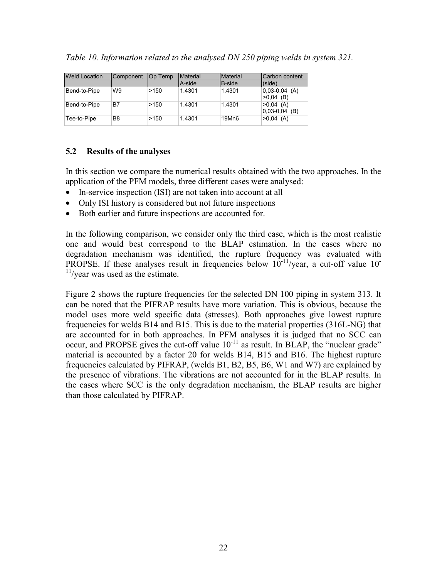<span id="page-23-0"></span>

|  |  |  | Table 10. Information related to the analysed DN 250 piping welds in system 321. |
|--|--|--|----------------------------------------------------------------------------------|
|  |  |  |                                                                                  |

| <b>Weld Location</b> | Component | Op Temp | <b>Material</b> | <b>Material</b> | Carbon content                  |
|----------------------|-----------|---------|-----------------|-----------------|---------------------------------|
|                      |           |         | A-side          | <b>B-side</b>   | (side)                          |
| Bend-to-Pipe         | W9        | >150    | 1.4301          | 1.4301          | $ 0.03-0.04(A) $<br>$>0.04$ (B) |
| Bend-to-Pipe         | B7        | >150    | 1.4301          | 1.4301          | $>0,04$ (A)<br>$ 0.03-0.04$ (B) |
| Tee-to-Pipe          | B8        | >150    | 1.4301          | 19Mn6           | $>0.04$ (A)                     |

#### **5.2 Results of the analyses**

In this section we compare the numerical results obtained with the two approaches. In the application of the PFM models, three different cases were analysed:

- In-service inspection *(ISI)* are not taken into account at all
- Only ISI history is considered but not future inspections
- Both earlier and future inspections are accounted for.

In the following comparison, we consider only the third case, which is the most realistic one and would best correspond to the BLAP estimation. In the cases where no degradation mechanism was identified, the rupture frequency was evaluated with PROPSE. If these analyses result in frequencies below  $10^{-11}/\text{year}$ , a cut-off value  $10^{-1}$  $11$ /year was used as the estimate.

Figure 2 shows the rupture frequencies for the selected DN 100 piping in system 313. It can be noted that the PIFRAP results have more variation. This is obvious, because the model uses more weld specific data (stresses). Both approaches give lowest rupture frequencies for welds B14 and B15. This is due to the material properties (316L-NG) that are accounted for in both approaches. In PFM analyses it is judged that no SCC can occur, and PROPSE gives the cut-off value  $10^{-11}$  as result. In BLAP, the "nuclear grade" material is accounted by a factor 20 for welds B14, B15 and B16. The highest rupture frequencies calculated by PIFRAP, (welds B1, B2, B5, B6, W1 and W7) are explained by the presence of vibrations. The vibrations are not accounted for in the BLAP results. In the cases where SCC is the only degradation mechanism, the BLAP results are higher than those calculated by PIFRAP.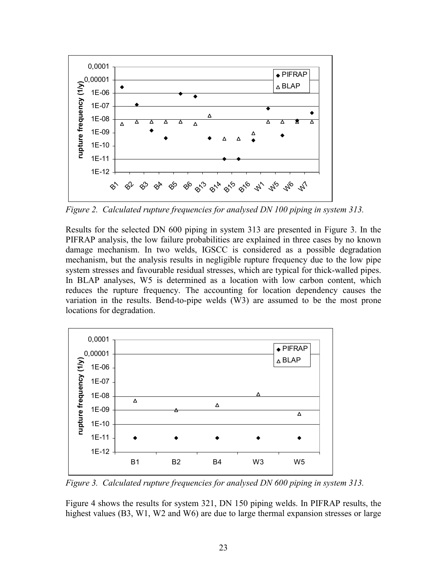

*Figure 2. Calculated rupture frequencies for analysed DN 100 piping in system 313.* 

Results for the selected DN 600 piping in system 313 are presented in Figure 3. In the PIFRAP analysis, the low failure probabilities are explained in three cases by no known damage mechanism. In two welds, IGSCC is considered as a possible degradation mechanism, but the analysis results in negligible rupture frequency due to the low pipe system stresses and favourable residual stresses, which are typical for thick-walled pipes. In BLAP analyses, W5 is determined as a location with low carbon content, which reduces the rupture frequency. The accounting for location dependency causes the variation in the results. Bend-to-pipe welds (W3) are assumed to be the most prone locations for degradation.



*Figure 3. Calculated rupture frequencies for analysed DN 600 piping in system 313.* 

Figure 4 shows the results for system 321, DN 150 piping welds. In PIFRAP results, the highest values (B3, W1, W2 and W6) are due to large thermal expansion stresses or large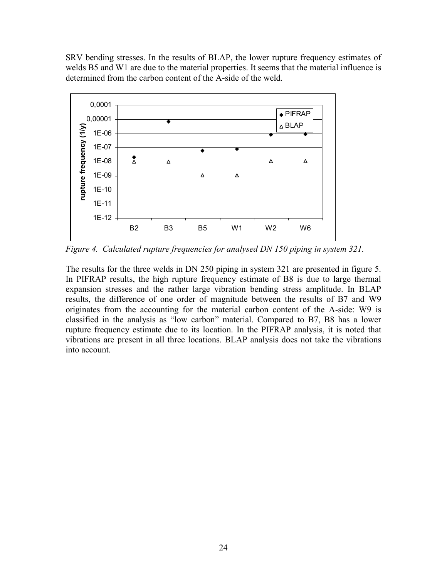SRV bending stresses. In the results of BLAP, the lower rupture frequency estimates of welds B5 and W1 are due to the material properties. It seems that the material influence is determined from the carbon content of the A-side of the weld.



*Figure 4. Calculated rupture frequencies for analysed DN 150 piping in system 321.* 

The results for the three welds in DN 250 piping in system 321 are presented in figure 5. In PIFRAP results, the high rupture frequency estimate of B8 is due to large thermal expansion stresses and the rather large vibration bending stress amplitude. In BLAP results, the difference of one order of magnitude between the results of B7 and W9 originates from the accounting for the material carbon content of the A-side: W9 is classified in the analysis as "low carbon" material. Compared to B7, B8 has a lower rupture frequency estimate due to its location. In the PIFRAP analysis, it is noted that vibrations are present in all three locations. BLAP analysis does not take the vibrations into account.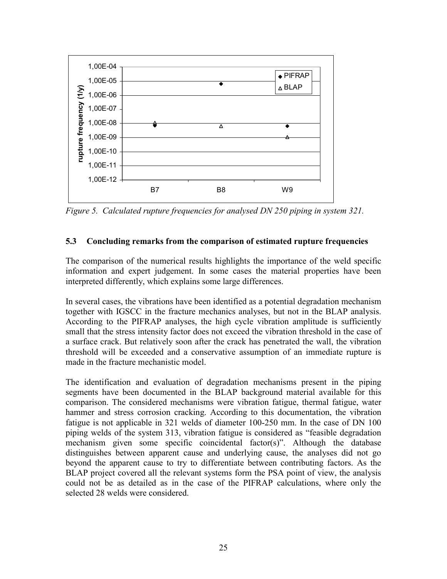<span id="page-26-0"></span>

*Figure 5. Calculated rupture frequencies for analysed DN 250 piping in system 321.* 

#### **5.3 Concluding remarks from the comparison of estimated rupture frequencies**

The comparison of the numerical results highlights the importance of the weld specific information and expert judgement. In some cases the material properties have been interpreted differently, which explains some large differences.

In several cases, the vibrations have been identified as a potential degradation mechanism together with IGSCC in the fracture mechanics analyses, but not in the BLAP analysis. According to the PIFRAP analyses, the high cycle vibration amplitude is sufficiently small that the stress intensity factor does not exceed the vibration threshold in the case of a surface crack. But relatively soon after the crack has penetrated the wall, the vibration threshold will be exceeded and a conservative assumption of an immediate rupture is made in the fracture mechanistic model.

The identification and evaluation of degradation mechanisms present in the piping segments have been documented in the BLAP background material available for this comparison. The considered mechanisms were vibration fatigue, thermal fatigue, water hammer and stress corrosion cracking. According to this documentation, the vibration fatigue is not applicable in 321 welds of diameter 100-250 mm. In the case of DN 100 piping welds of the system 313, vibration fatigue is considered as "feasible degradation mechanism given some specific coincidental factor(s)". Although the database distinguishes between apparent cause and underlying cause, the analyses did not go beyond the apparent cause to try to differentiate between contributing factors. As the BLAP project covered all the relevant systems form the PSA point of view, the analysis could not be as detailed as in the case of the PIFRAP calculations, where only the selected 28 welds were considered.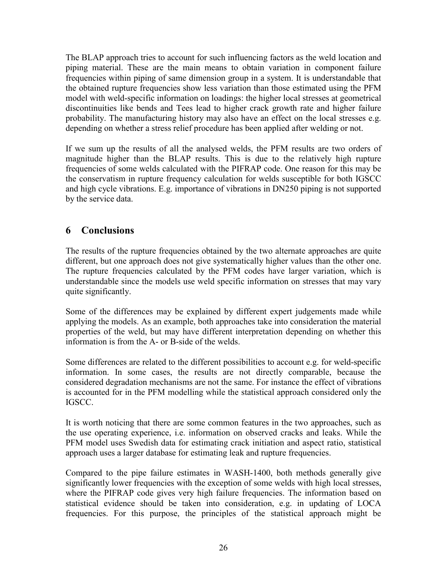<span id="page-27-0"></span>The BLAP approach tries to account for such influencing factors as the weld location and piping material. These are the main means to obtain variation in component failure frequencies within piping of same dimension group in a system. It is understandable that the obtained rupture frequencies show less variation than those estimated using the PFM model with weld-specific information on loadings: the higher local stresses at geometrical discontinuities like bends and Tees lead to higher crack growth rate and higher failure probability. The manufacturing history may also have an effect on the local stresses e.g. depending on whether a stress relief procedure has been applied after welding or not.

If we sum up the results of all the analysed welds, the PFM results are two orders of magnitude higher than the BLAP results. This is due to the relatively high rupture frequencies of some welds calculated with the PIFRAP code. One reason for this may be the conservatism in rupture frequency calculation for welds susceptible for both IGSCC and high cycle vibrations. E.g. importance of vibrations in DN250 piping is not supported by the service data.

# **6 Conclusions**

The results of the rupture frequencies obtained by the two alternate approaches are quite different, but one approach does not give systematically higher values than the other one. The rupture frequencies calculated by the PFM codes have larger variation, which is understandable since the models use weld specific information on stresses that may vary quite significantly.

Some of the differences may be explained by different expert judgements made while applying the models. As an example, both approaches take into consideration the material properties of the weld, but may have different interpretation depending on whether this information is from the A- or B-side of the welds.

Some differences are related to the different possibilities to account e.g. for weld-specific information. In some cases, the results are not directly comparable, because the considered degradation mechanisms are not the same. For instance the effect of vibrations is accounted for in the PFM modelling while the statistical approach considered only the IGSCC.

It is worth noticing that there are some common features in the two approaches, such as the use operating experience, i.e. information on observed cracks and leaks. While the PFM model uses Swedish data for estimating crack initiation and aspect ratio, statistical approach uses a larger database for estimating leak and rupture frequencies.

Compared to the pipe failure estimates in WASH-1400, both methods generally give significantly lower frequencies with the exception of some welds with high local stresses, where the PIFRAP code gives very high failure frequencies. The information based on statistical evidence should be taken into consideration, e.g. in updating of LOCA frequencies. For this purpose, the principles of the statistical approach might be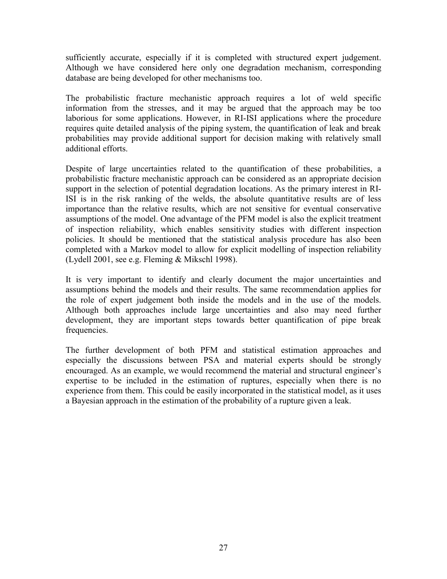sufficiently accurate, especially if it is completed with structured expert judgement. Although we have considered here only one degradation mechanism, corresponding database are being developed for other mechanisms too.

The probabilistic fracture mechanistic approach requires a lot of weld specific information from the stresses, and it may be argued that the approach may be too laborious for some applications. However, in RI-ISI applications where the procedure requires quite detailed analysis of the piping system, the quantification of leak and break probabilities may provide additional support for decision making with relatively small additional efforts.

Despite of large uncertainties related to the quantification of these probabilities, a probabilistic fracture mechanistic approach can be considered as an appropriate decision support in the selection of potential degradation locations. As the primary interest in RI-ISI is in the risk ranking of the welds, the absolute quantitative results are of less importance than the relative results, which are not sensitive for eventual conservative assumptions of the model. One advantage of the PFM model is also the explicit treatment of inspection reliability, which enables sensitivity studies with different inspection policies. It should be mentioned that the statistical analysis procedure has also been completed with a Markov model to allow for explicit modelling of inspection reliability (Lydell 2001, see e.g. Fleming & Mikschl 1998).

It is very important to identify and clearly document the major uncertainties and assumptions behind the models and their results. The same recommendation applies for the role of expert judgement both inside the models and in the use of the models. Although both approaches include large uncertainties and also may need further development, they are important steps towards better quantification of pipe break frequencies.

The further development of both PFM and statistical estimation approaches and especially the discussions between PSA and material experts should be strongly encouraged. As an example, we would recommend the material and structural engineer's expertise to be included in the estimation of ruptures, especially when there is no experience from them. This could be easily incorporated in the statistical model, as it uses a Bayesian approach in the estimation of the probability of a rupture given a leak.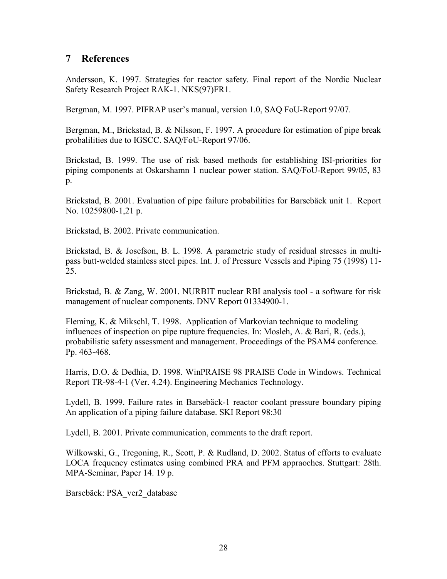### <span id="page-29-0"></span>**7 References**

Andersson, K. 1997. Strategies for reactor safety. Final report of the Nordic Nuclear Safety Research Project RAK-1. NKS(97)FR1.

Bergman, M. 1997. PIFRAP user's manual, version 1.0, SAQ FoU-Report 97/07.

Bergman, M., Brickstad, B. & Nilsson, F. 1997. A procedure for estimation of pipe break probalilities due to IGSCC. SAQ/FoU-Report 97/06.

Brickstad, B. 1999. The use of risk based methods for establishing ISI-priorities for piping components at Oskarshamn 1 nuclear power station. SAQ/FoU-Report 99/05, 83 p.

Brickstad, B. 2001. Evaluation of pipe failure probabilities for Barsebäck unit 1. Report No. 10259800-1,21 p.

Brickstad, B. 2002. Private communication.

Brickstad, B. & Josefson, B. L. 1998. A parametric study of residual stresses in multipass butt-welded stainless steel pipes. Int. J. of Pressure Vessels and Piping 75 (1998) 11- 25.

Brickstad, B. & Zang, W. 2001. NURBIT nuclear RBI analysis tool - a software for risk management of nuclear components. DNV Report 01334900-1.

Fleming, K. & Mikschl, T. 1998. Application of Markovian technique to modeling influences of inspection on pipe rupture frequencies. In: Mosleh, A. & Bari, R. (eds.), probabilistic safety assessment and management. Proceedings of the PSAM4 conference. Pp. 463-468.

Harris, D.O. & Dedhia, D. 1998. WinPRAISE 98 PRAISE Code in Windows. Technical Report TR-98-4-1 (Ver. 4.24). Engineering Mechanics Technology.

Lydell, B. 1999. Failure rates in Barsebäck-1 reactor coolant pressure boundary piping An application of a piping failure database. SKI Report 98:30

Lydell, B. 2001. Private communication, comments to the draft report.

Wilkowski, G., Tregoning, R., Scott, P. & Rudland, D. 2002. Status of efforts to evaluate LOCA frequency estimates using combined PRA and PFM appraoches. Stuttgart: 28th. MPA-Seminar, Paper 14. 19 p.

Barsebäck: PSA\_ver2\_database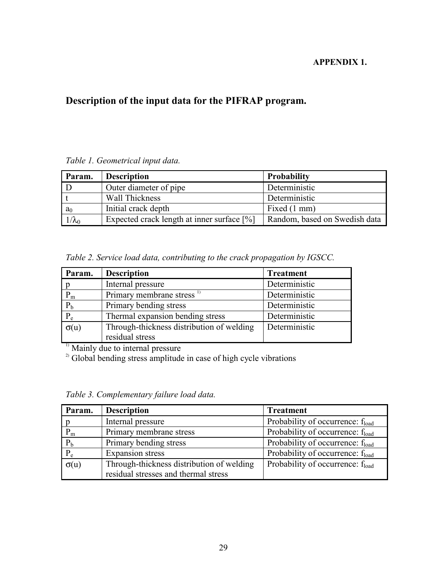#### **APPENDIX 1.**

# **Description of the input data for the PIFRAP program.**

### *Table 1. Geometrical input data.*

| Param.         | <b>Description</b>                           | <b>Probability</b>            |
|----------------|----------------------------------------------|-------------------------------|
|                | Outer diameter of pipe                       | Deterministic                 |
|                | Wall Thickness                               | Deterministic                 |
| a <sub>0</sub> | Initial crack depth                          | Fixed (1 mm)                  |
| $1/\lambda_0$  | Expected crack length at inner surface $[%]$ | Random, based on Swedish data |

*Table 2. Service load data, contributing to the crack propagation by IGSCC.*

| Param.       | <b>Description</b>                        | <b>Treatment</b> |
|--------------|-------------------------------------------|------------------|
| $\mathbf{p}$ | Internal pressure                         | Deterministic    |
| $P_m$        | Primary membrane stress <sup>1)</sup>     | Deterministic    |
| $P_b$        | Primary bending stress                    | Deterministic    |
| $P_e$        | Thermal expansion bending stress          | Deterministic    |
| $\sigma(u)$  | Through-thickness distribution of welding | Deterministic    |
|              | residual stress                           |                  |

 $<sup>1)</sup>$  Mainly due to internal pressure</sup>

 $2^{2}$  Global bending stress amplitude in case of high cycle vibrations

*Table 3. Complementary failure load data.*

| Param.      | <b>Description</b>                        | <b>Treatment</b>                             |
|-------------|-------------------------------------------|----------------------------------------------|
|             | Internal pressure                         | Probability of occurrence: f <sub>load</sub> |
| $P_{m}$     | Primary membrane stress                   | Probability of occurrence: $f_{load}$        |
| $P_b$       | Primary bending stress                    | Probability of occurrence: $f_{load}$        |
| $P_e$       | <b>Expansion</b> stress                   | Probability of occurrence: f <sub>load</sub> |
| $\sigma(u)$ | Through-thickness distribution of welding | Probability of occurrence: $f_{load}$        |
|             | residual stresses and thermal stress      |                                              |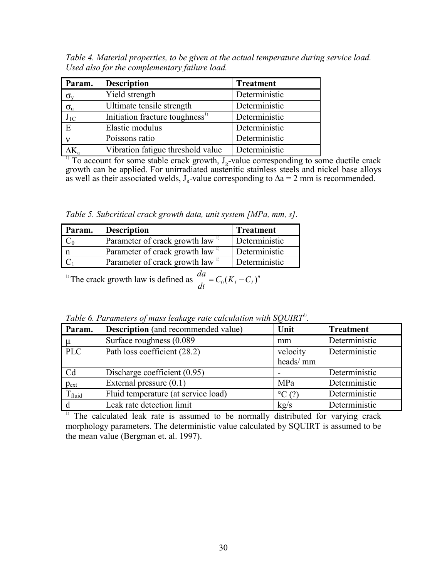*Table 4. Material properties, to be given at the actual temperature during service load. Used also for the complementary failure load.* 

| Param.           | <b>Description</b>                          | <b>Treatment</b> |
|------------------|---------------------------------------------|------------------|
| $\sigma_{\rm v}$ | Yield strength                              | Deterministic    |
| $\sigma_{\rm u}$ | Ultimate tensile strength                   | Deterministic    |
| $J_{1C}$         | Initiation fracture toughness <sup>1)</sup> | Deterministic    |
| $\overline{E}$   | Elastic modulus                             | Deterministic    |
|                  | Poissons ratio                              | Deterministic    |
|                  | Vibration fatigue threshold value           | Deterministic    |

<sup>1)</sup> To account for some stable crack growth,  $J_R$ -value corresponding to some ductile crack growth can be applied. For unirradiated austenitic stainless steels and nickel base alloys as well as their associated welds,  $J_R$ -value corresponding to  $\Delta a = 2$  mm is recommended.

*Table 5. Subcritical crack growth data, unit system [MPa, mm, s].* 

| Param. | <b>Description</b>                          | <b>Treatment</b> |
|--------|---------------------------------------------|------------------|
| $C_0$  | Parameter of crack growth law <sup>1)</sup> | Deterministic    |
| n      | Parameter of crack growth law <sup>1)</sup> | Deterministic    |
|        | Parameter of crack growth law <sup>1)</sup> | Deterministic    |

<sup>1)</sup> The crack growth law is defined as  $\frac{da}{dt} = C_0 (K_I - C_I)^n$ 

*Table 6. Parameters of mass leakage rate calculation with SQUIRT<sup><i>i*</sup>.

| Param.      | <b>Description</b> (and recommended value) | Unit                 | <b>Treatment</b> |
|-------------|--------------------------------------------|----------------------|------------------|
| $\mu$       | Surface roughness (0.089)                  | mm                   | Deterministic    |
| <b>PLC</b>  | Path loss coefficient (28.2)               | velocity             | Deterministic    |
|             |                                            | heads/mm             |                  |
| Cd          | Discharge coefficient (0.95)               |                      | Deterministic    |
| $p_{ext}$   | External pressure $(0.1)$                  | MPa                  | Deterministic    |
| $T_{fluid}$ | Fluid temperature (at service load)        | $\rm{^{\circ}C}$ (?) | Deterministic    |
| d           | Leak rate detection limit                  | kg/s                 | Deterministic    |

<sup>1)</sup> The calculated leak rate is assumed to be normally distributed for varying crack morphology parameters. The deterministic value calculated by SQUIRT is assumed to be the mean value (Bergman et. al. 1997).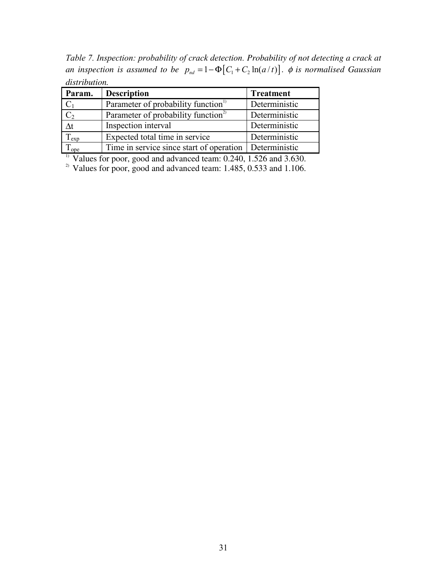*Table 7. Inspection: probability of crack detection. Probability of not detecting a crack at an inspection is assumed to be*  $p_{nd} = 1 - \Phi \left[ C_1 + C_2 \ln(a/t) \right]$ .  $\phi$  *is normalised Gaussian distribution.* 

| Param.             | <b>Description</b>                              | <b>Treatment</b> |
|--------------------|-------------------------------------------------|------------------|
| $C_1$              | Parameter of probability function <sup>11</sup> | Deterministic    |
| C <sub>2</sub>     | Parameter of probability function <sup>2)</sup> | Deterministic    |
| $\Delta t$         | Inspection interval                             | Deterministic    |
| $\Gamma_{\rm exp}$ | Expected total time in service                  | Deterministic    |
| <sup>1</sup> ope   | Time in service since start of operation        | Deterministic    |

<sup>1)</sup> Values for poor, good and advanced team:  $0.240$ ,  $1.526$  and  $3.630$ .

<sup>2)</sup> Values for poor, good and advanced team:  $1.485$ ,  $0.533$  and  $1.106$ .